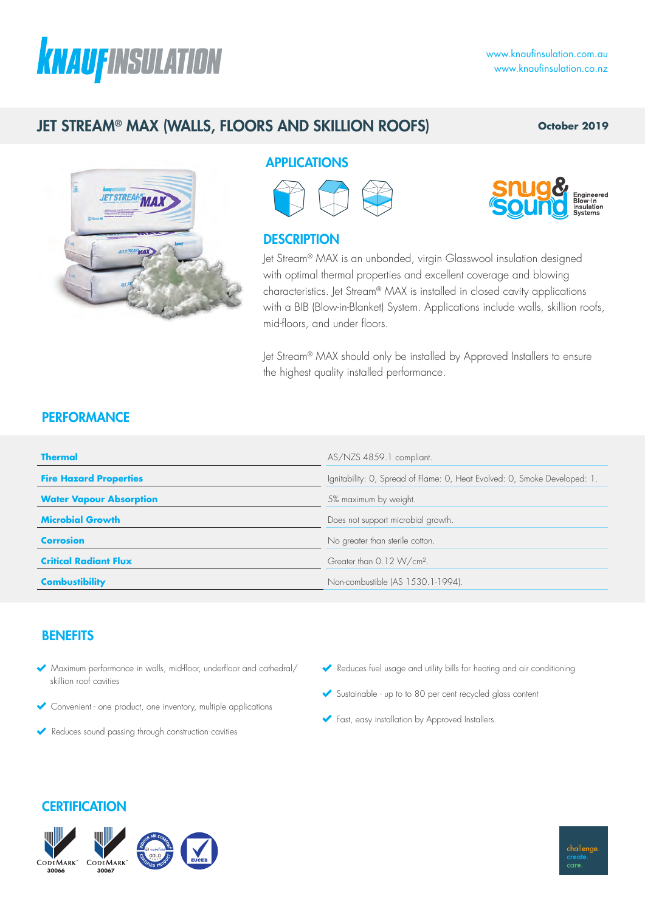# **KNAUFINSULATION**

# JET STREAM® MAX (WALLS, FLOORS AND SKILLION ROOFS)

### **October 2019**



## APPLICATIONS



## **DESCRIPTION**

Jet Stream® MAX is an unbonded, virgin Glasswool insulation designed with optimal thermal properties and excellent coverage and blowing characteristics. Jet Stream® MAX is installed in closed cavity applications with a BIB (Blow-in-Blanket) System. Applications include walls, skillion roofs, mid-floors, and under floors.

Jet Stream® MAX should only be installed by Approved Installers to ensure the highest quality installed performance.

## **PERFORMANCE**

| <b>Thermal</b>                 | AS/NZS 4859.1 compliant.                                                  |
|--------------------------------|---------------------------------------------------------------------------|
| <b>Fire Hazard Properties</b>  | Ignitability: O, Spread of Flame: O, Heat Evolved: O, Smoke Developed: 1. |
| <b>Water Vapour Absorption</b> | 5% maximum by weight.                                                     |
| <b>Microbial Growth</b>        | Does not support microbial growth.                                        |
| <b>Corrosion</b>               | No greater than sterile cotton.                                           |
| <b>Critical Radiant Flux</b>   | Greater than 0.12 W/cm <sup>2</sup> .                                     |
| <b>Combustibility</b>          | Non-combustible (AS 1530.1-1994).                                         |

### **BENEFITS**

- Maximum performance in walls, mid-floor, underfloor and cathedral/ skillion roof cavities
- Convenient one product, one inventory, multiple applications
- Reduces sound passing through construction cavities
- Reduces fuel usage and utility bills for heating and air conditioning
- Sustainable up to to 80 per cent recycled glass content
- Fast, easy installation by Approved Installers.

## **CERTIFICATION**



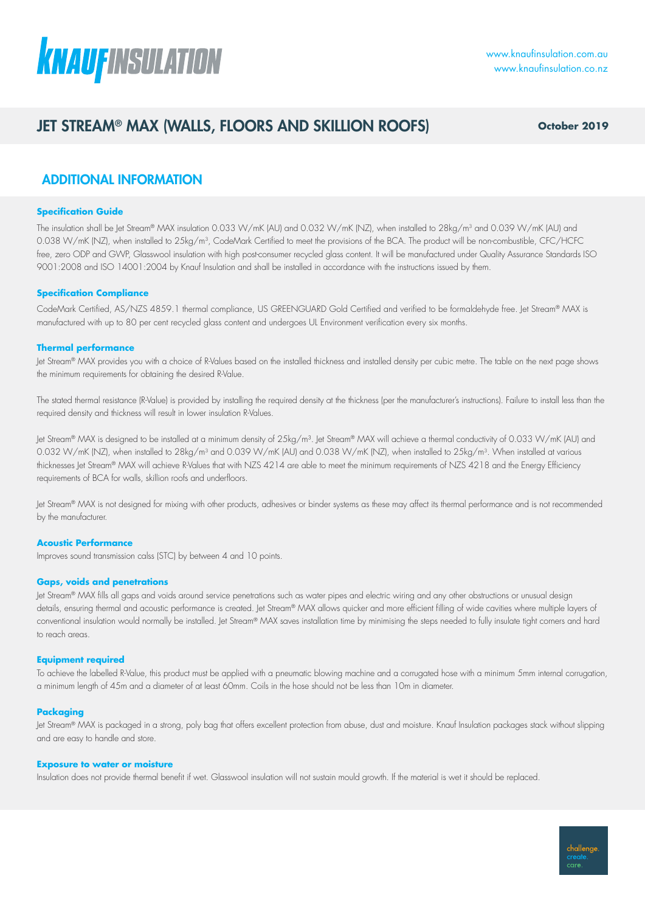

## JET STREAM® MAX (WALLS, FLOORS AND SKILLION ROOFS) **October 2019**

## ADDITIONAL INFORMATION

#### **Specification Guide**

The insulation shall be Jet Stream® MAX insulation 0.033 W/mK (AU) and 0.032 W/mK (NZ), when installed to 28kg/m<sup>3</sup> and 0.039 W/mK (AU) and 0.038 W/mK (NZ), when installed to 25kg/m3, CodeMark Certified to meet the provisions of the BCA. The product will be non-combustible, CFC/HCFC free, zero ODP and GWP, Glasswool insulation with high post-consumer recycled glass content. It will be manufactured under Quality Assurance Standards ISO 9001:2008 and ISO 14001:2004 by Knauf Insulation and shall be installed in accordance with the instructions issued by them.

#### **Specification Compliance**

CodeMark Certified, AS/NZS 4859.1 thermal compliance, US GREENGUARD Gold Certified and verified to be formaldehyde free. Jet Stream® MAX is manufactured with up to 80 per cent recycled glass content and undergoes UL Environment verification every six months.

#### **Thermal performance**

Jet Stream® MAX provides you with a choice of R-Values based on the installed thickness and installed density per cubic metre. The table on the next page shows the minimum requirements for obtaining the desired R-Value.

The stated thermal resistance (R-Value) is provided by installing the required density at the thickness (per the manufacturer's instructions). Failure to install less than the required density and thickness will result in lower insulation R-Values.

Jet Stream® MAX is designed to be installed at a minimum density of 25kg/m<sup>3</sup>. Jet Stream® MAX will achieve a thermal conductivity of 0.033 W/mK (AU) and 0.032 W/mK (NZ), when installed to 28kg/m<sup>3</sup> and 0.039 W/mK (AU) and 0.038 W/mK (NZ), when installed to 25kg/m<sup>3</sup>. When installed at various thicknesses Jet Stream® MAX will achieve R-Values that with NZS 4214 are able to meet the minimum requirements of NZS 4218 and the Energy Efficiency requirements of BCA for walls, skillion roofs and underfloors.

Jet Stream® MAX is not designed for mixing with other products, adhesives or binder systems as these may affect its thermal performance and is not recommended by the manufacturer.

#### **Acoustic Performance**

Improves sound transmission calss (STC) by between 4 and 10 points.

#### **Gaps, voids and penetrations**

Jet Stream® MAX fills all gaps and voids around service penetrations such as water pipes and electric wiring and any other obstructions or unusual design details, ensuring thermal and acoustic performance is created. Jet Stream® MAX allows quicker and more efficient filling of wide cavities where multiple layers of conventional insulation would normally be installed. Jet Stream® MAX saves installation time by minimising the steps needed to fully insulate tight corners and hard to reach areas.

#### **Equipment required**

To achieve the labelled R-Value, this product must be applied with a pneumatic blowing machine and a corrugated hose with a minimum 5mm internal corrugation, a minimum length of 45m and a diameter of at least 60mm. Coils in the hose should not be less than 10m in diameter.

#### **Packaging**

Jet Stream® MAX is packaged in a strong, poly bag that offers excellent protection from abuse, dust and moisture. Knauf Insulation packages stack without slipping and are easy to handle and store.

#### **Exposure to water or moisture**

Insulation does not provide thermal benefit if wet. Glasswool insulation will not sustain mould growth. If the material is wet it should be replaced.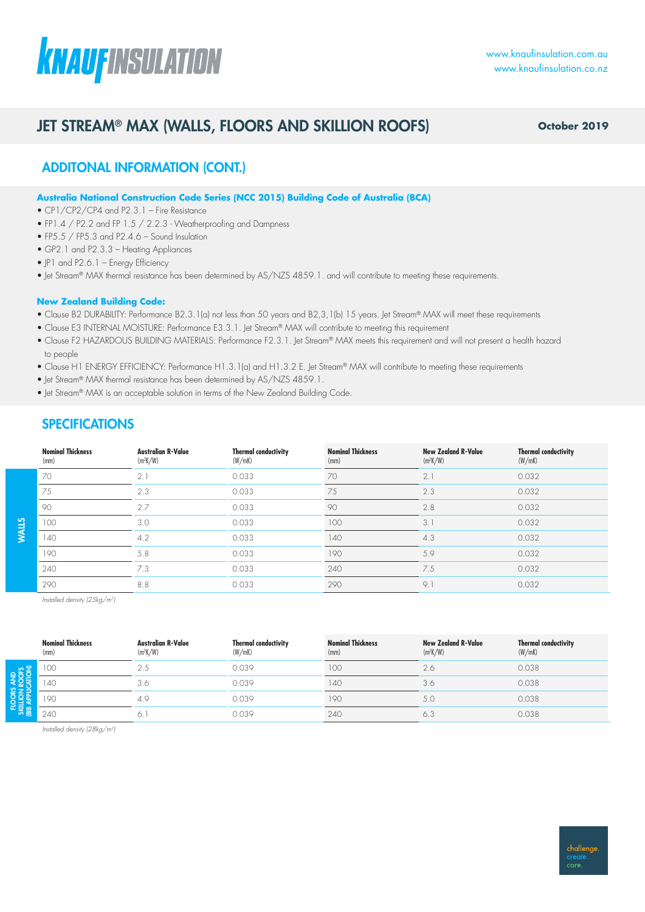# **KNAUFINSULATION**

# JET STREAM® MAX (WALLS, FLOORS AND SKILLION ROOFS)

**October 2019**

## ADDITONAL INFORMATION (CONT.)

#### **Australia National Construction Code Series (NCC 2015) Building Code of Australia (BCA)**

- CP1/CP2/CP4 and P2.3.1 Fire Resistance
- FP1.4 / P2.2 and FP 1.5 / 2.2.3 Weatherproofing and Dampness
- FP5.5 / FP5.3 and P2.4.6 Sound Insulation
- GP2.1 and P2.3.3 Heating Appliances
- IP1 and P2.6.1 Energy Efficiency
- Jet Stream® MAX thermal resistance has been determined by AS/NZS 4859.1. and will contribute to meeting these requirements.

#### **New Zealand Building Code:**

- Clause B2 DURABILITY: Performance B2.3.1(a) not less than 50 years and B2,3,1(b) 15 years. Jet Stream® MAX will meet these requirements
- Clause E3 INTERNAL MOISTURE: Performance E3.3.1. Jet Stream® MAX will contribute to meeting this requirement
- Clause F2 HAZARDOUS BUILDING MATERIALS: Performance F2.3.1. Let Stream® MAX meets this requirement and will not present a health hazard to people
- Clause H1 ENERGY EFFICIENCY: Performance H1.3.1(a) and H1.3.2 E. Jet Stream® MAX will contribute to meeting these requirements
- Jet Stream® MAX thermal resistance has been determined by AS/NZS 4859.1.
- Jet Stream® MAX is an acceptable solution in terms of the New Zealand Building Code.

## **SPECIFICATIONS**

| <b>Nominal Thickness</b><br>(mm) | <b>Australian R-Value</b><br>$(m^2K/W)$ | <b>Thermal conductivity</b><br>(W/mK) | <b>Nominal Thickness</b><br>(mm) | <b>New Zealand R-Value</b><br>$(m^2K/W)$ | <b>Thermal conductivity</b><br>(W/mK) |
|----------------------------------|-----------------------------------------|---------------------------------------|----------------------------------|------------------------------------------|---------------------------------------|
| 70                               | 2.1                                     | 0.033                                 | 70                               | 2.1                                      | 0.032                                 |
| 75                               | 2.3                                     | 0.033                                 | 75                               | 2.3                                      | 0.032                                 |
| 90                               | 2.7                                     | 0.033                                 | 90                               | 2.8                                      | 0.032                                 |
| 100                              | 3.0                                     | 0.033                                 | 100                              | 3.1                                      | 0.032                                 |
| 140                              | 4.2                                     | 0.033                                 | 140                              | 4.3                                      | 0.032                                 |
| 190                              | 5.8                                     | 0.033                                 | 190                              | 5.9                                      | 0.032                                 |
| 240                              | 7.3                                     | 0.033                                 | 240                              | 7.5                                      | 0.032                                 |
| 290                              | 8.8                                     | 0.033                                 | 290                              | 9.1                                      | 0.032                                 |

*Installed density (25kg/m3)*

WALLS

|                 | <b>Nominal Thickness</b><br>(mm) | <b>Australian R-Value</b><br>$(m^2K/W)$ | <b>Thermal conductivity</b><br>(W/mK) | <b>Nominal Thickness</b><br>(mm) | <b>New Zealand R-Value</b><br>$(m^2K/W)$ | <b>Thermal conductivity</b><br>(W/mK) |
|-----------------|----------------------------------|-----------------------------------------|---------------------------------------|----------------------------------|------------------------------------------|---------------------------------------|
| $50 - 5$<br>2ラ当 | 100                              | 2.5                                     | 0.039                                 | 100                              | 2.6                                      | 0.038                                 |
|                 | $ 40\rangle$                     | 3.6                                     | 0.039                                 | 140                              | 3.0                                      | 0.038                                 |
|                 | 190                              | 4.9                                     | 0.039                                 | 190                              | 5.0                                      | 0.038                                 |
| <b>READER</b>   | 240                              |                                         | 0.039                                 | 240                              |                                          | 0.038                                 |

*Installed density (28kg/m3)*